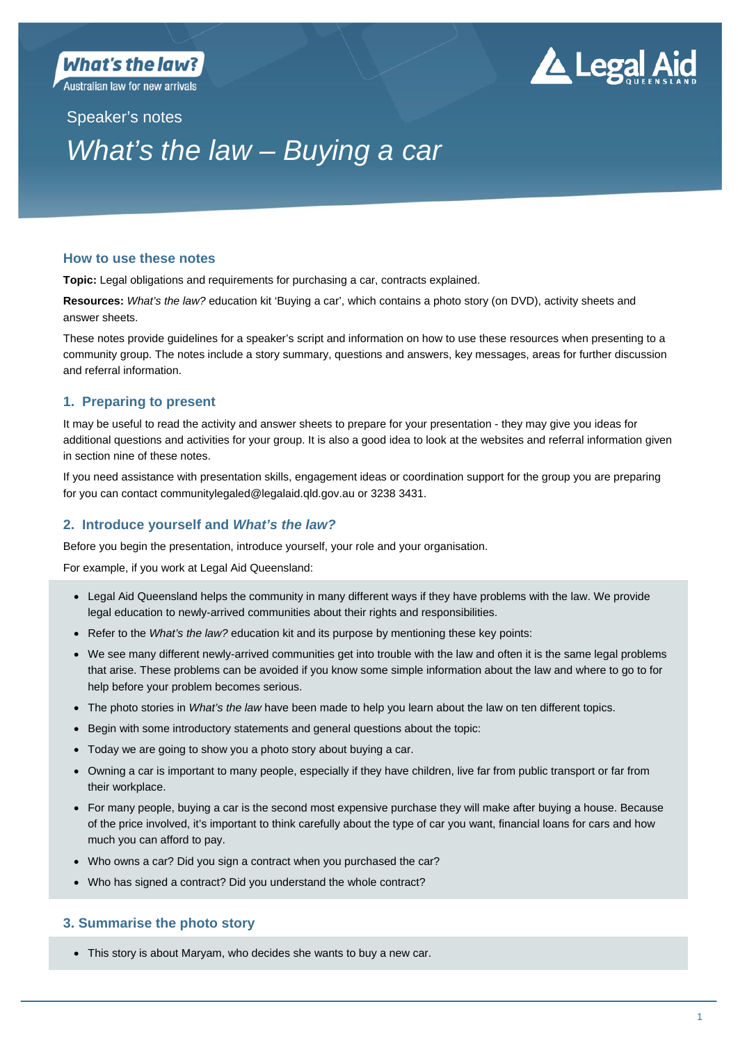**Australian law for new arrivals** 

# **Legal Aid**

Speaker's notes

# *What's the law – Buying a car*

# **How to use these notes**

**Topic:** Legal obligations and requirements for purchasing a car, contracts explained.

**Resources:** *What's the law?* education kit 'Buying a car', which contains a photo story (on DVD), activity sheets and answer sheets.

These notes provide guidelines for a speaker's script and information on how to use these resources when presenting to a community group. The notes include a story summary, questions and answers, key messages, areas for further discussion and referral information.

# **1. Preparing to present**

It may be useful to read the activity and answer sheets to prepare for your presentation - they may give you ideas for additional questions and activities for your group. It is also a good idea to look at the websites and referral information given in section nine of these notes.

If you need assistance with presentation skills, engagement ideas or coordination support for the group you are preparing for you can contact communitylegaled@legalaid.qld.gov.au or 3238 3431.

# **2. Introduce yourself and** *What's the law?*

Before you begin the presentation, introduce yourself, your role and your organisation.

For example, if you work at Legal Aid Queensland:

- Legal Aid Queensland helps the community in many different ways if they have problems with the law. We provide legal education to newly-arrived communities about their rights and responsibilities.
- Refer to the *What's the law?* education kit and its purpose by mentioning these key points:
- We see many different newly-arrived communities get into trouble with the law and often it is the same legal problems that arise. These problems can be avoided if you know some simple information about the law and where to go to for help before your problem becomes serious.
- The photo stories in *What's the law* have been made to help you learn about the law on ten different topics.
- Begin with some introductory statements and general questions about the topic:
- Today we are going to show you a photo story about buying a car.
- Owning a car is important to many people, especially if they have children, live far from public transport or far from their workplace.
- For many people, buying a car is the second most expensive purchase they will make after buying a house. Because of the price involved, it's important to think carefully about the type of car you want, financial loans for cars and how much you can afford to pay.
- Who owns a car? Did you sign a contract when you purchased the car?
- Who has signed a contract? Did you understand the whole contract?

# **3. Summarise the photo story**

This story is about Maryam, who decides she wants to buy a new car.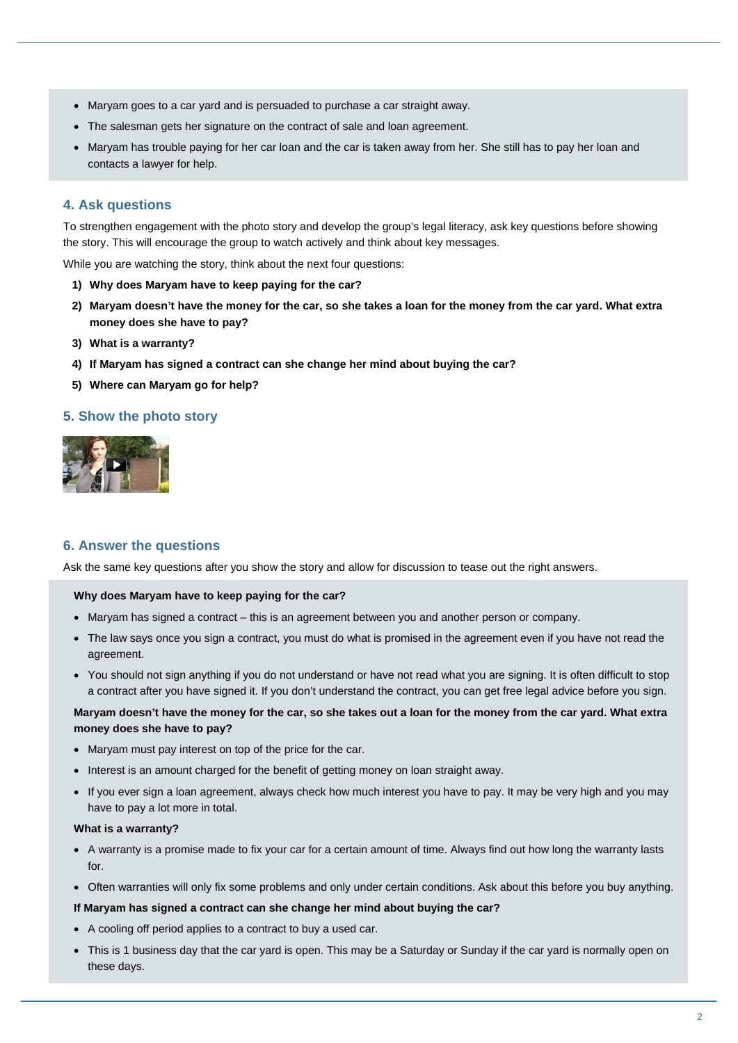- Maryam goes to a car yard and is persuaded to purchase a car straight away.
- The salesman gets her signature on the contract of sale and loan agreement.
- Maryam has trouble paying for her car loan and the car is taken away from her. She still has to pay her loan and contacts a lawyer for help.

# **4. Ask questions**

To strengthen engagement with the photo story and develop the group's legal literacy, ask key questions before showing the story. This will encourage the group to watch actively and think about key messages.

While you are watching the story, think about the next four questions:

- **1) Why does Maryam have to keep paying for the car?**
- **2) Maryam doesn't have the money for the car, so she takes a loan for the money from the car yard. What extra money does she have to pay?**
- **3) What is a warranty?**
- **4) If Maryam has signed a contract can she change her mind about buying the car?**
- **5) Where can Maryam go for help?**

# **5. Show the photo story**



# **6. Answer the questions**

Ask the same key questions after you show the story and allow for discussion to tease out the right answers.

#### **Why does Maryam have to keep paying for the car?**

- Maryam has signed a contract this is an agreement between you and another person or company.
- The law says once you sign a contract, you must do what is promised in the agreement even if you have not read the agreement.
- You should not sign anything if you do not understand or have not read what you are signing. It is often difficult to stop a contract after you have signed it. If you don't understand the contract, you can get free legal advice before you sign.

# **Maryam doesn't have the money for the car, so she takes out a loan for the money from the car yard. What extra money does she have to pay?**

- Maryam must pay interest on top of the price for the car.
- Interest is an amount charged for the benefit of getting money on loan straight away.
- If you ever sign a loan agreement, always check how much interest you have to pay. It may be very high and you may have to pay a lot more in total.

#### **What is a warranty?**

- A warranty is a promise made to fix your car for a certain amount of time. Always find out how long the warranty lasts for.
- Often warranties will only fix some problems and only under certain conditions. Ask about this before you buy anything.

#### **If Maryam has signed a contract can she change her mind about buying the car?**

- A cooling off period applies to a contract to buy a used car.
- This is 1 business day that the car yard is open. This may be a Saturday or Sunday if the car yard is normally open on these days.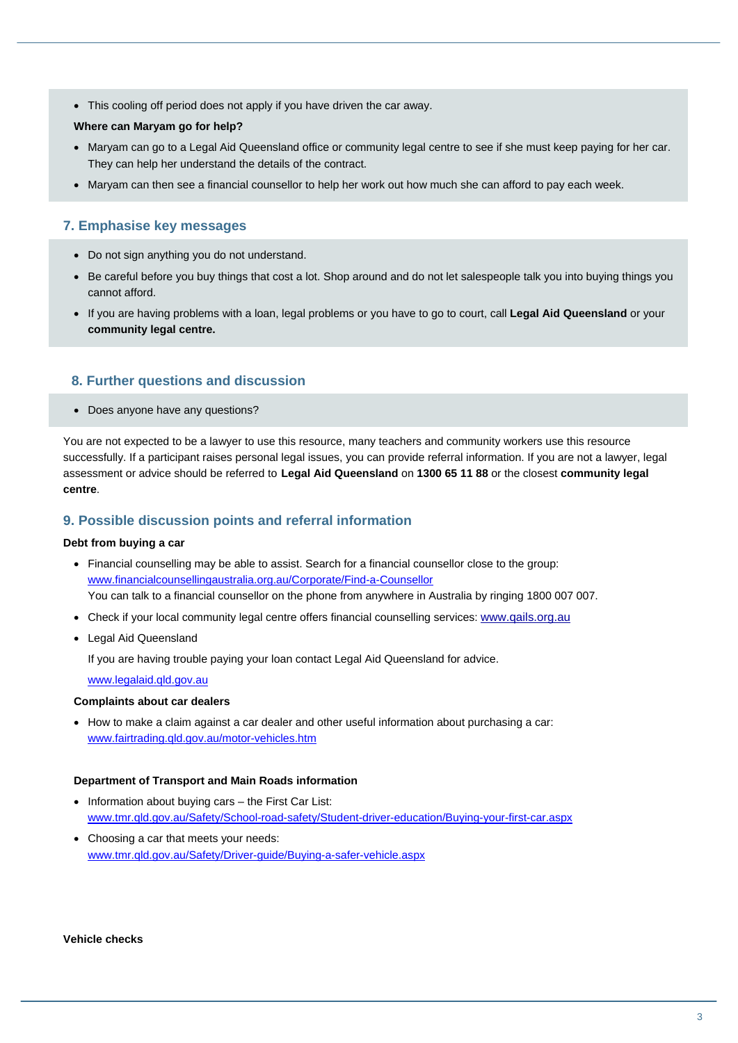This cooling off period does not apply if you have driven the car away.

#### **Where can Maryam go for help?**

- Maryam can go to a Legal Aid Queensland office or community legal centre to see if she must keep paying for her car. They can help her understand the details of the contract.
- Maryam can then see a financial counsellor to help her work out how much she can afford to pay each week.

# **7. Emphasise key messages**

- Do not sign anything you do not understand.
- Be careful before you buy things that cost a lot. Shop around and do not let salespeople talk you into buying things you cannot afford.
- If you are having problems with a loan, legal problems or you have to go to court, call **Legal Aid Queensland** or your **community legal centre.**

# **8. Further questions and discussion**

Does anyone have any questions?

You are not expected to be a lawyer to use this resource, many teachers and community workers use this resource successfully. If a participant raises personal legal issues, you can provide referral information. If you are not a lawyer, legal assessment or advice should be referred to **Legal Aid Queensland** on **1300 65 11 88** or the closest **community legal centre**.

# **9. Possible discussion points and referral information**

#### **Debt from buying a car**

- Financial counselling may be able to assist. Search for a financial counsellor close to the group: www.financialcounsellingaustralia.org.au/Corporate/Find-a-Counsellor You can talk to a financial counsellor on the phone from anywhere in Australia by ringing 1800 007 007.
- Check if your local community legal centre offers financial counselling services: www.qails.org.au
- Legal Aid Queensland

If you are having trouble paying your loan contact Legal Aid Queensland for advice.

#### www.legalaid.qld.gov.au

#### **Complaints about car dealers**

• How to make a claim against a car dealer and other useful information about purchasing a car: www.fairtrading.qld.gov.au/motor-vehicles.htm

#### **Department of Transport and Main Roads information**

- $\bullet$  Information about buying cars the First Car List: www.tmr.qld.gov.au/Safety/School-road-safety/Student-driver-education/Buying-your-first-car.aspx
- Choosing a car that meets your needs: www.tmr.qld.gov.au/Safety/Driver-guide/Buying-a-safer-vehicle.aspx

#### **Vehicle checks**